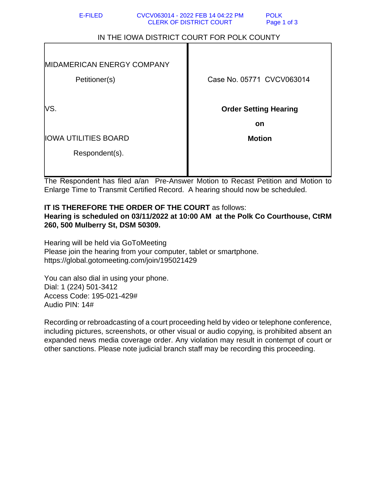| E-FILED                                    | CVCV063014 - 2022 FEB 14 04:22 PM<br><b>POLK</b><br><b>CLERK OF DISTRICT COURT</b><br>Page 1 of 3 |
|--------------------------------------------|---------------------------------------------------------------------------------------------------|
| IN THE IOWA DISTRICT COURT FOR POLK COUNTY |                                                                                                   |
|                                            |                                                                                                   |
| MIDAMERICAN ENERGY COMPANY                 |                                                                                                   |
| Petitioner(s)                              | Case No. 05771 CVCV063014                                                                         |
|                                            |                                                                                                   |
| VS.                                        | <b>Order Setting Hearing</b>                                                                      |
|                                            | <b>on</b>                                                                                         |
| <b>IOWA UTILITIES BOARD</b>                | <b>Motion</b>                                                                                     |
| Respondent(s).                             |                                                                                                   |
|                                            |                                                                                                   |

The Respondent has filed a/an Pre-Answer Motion to Recast Petition and Motion to Enlarge Time to Transmit Certified Record. A hearing should now be scheduled.

## **IT IS THEREFORE THE ORDER OF THE COURT** as follows:

**Hearing is scheduled on 03/11/2022 at 10:00 AM at the Polk Co Courthouse, CtRM 260, 500 Mulberry St, DSM 50309.**

Hearing will be held via GoToMeeting Please join the hearing from your computer, tablet or smartphone. https://global.gotomeeting.com/join/195021429

You can also dial in using your phone. Dial: 1 (224) 501-3412 Access Code: 195-021-429# Audio PIN: 14#

Recording or rebroadcasting of a court proceeding held by video or telephone conference, including pictures, screenshots, or other visual or audio copying, is prohibited absent an expanded news media coverage order. Any violation may result in contempt of court or other sanctions. Please note judicial branch staff may be recording this proceeding.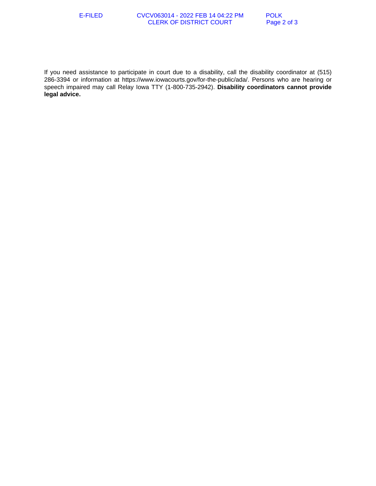## E-FILED CVCV063014 - 2022 FEB 14 04:22 PM POLK<br>CLERK OF DISTRICT COURT Page 2 of 3 **CLERK OF DISTRICT COURT**

If you need assistance to participate in court due to a disability, call the disability coordinator at (515) 286-3394 or information at https://www.iowacourts.gov/for-the-public/ada/. Persons who are hearing or speech impaired may call Relay Iowa TTY (1-800-735-2942). **Disability coordinators cannot provide legal advice.**